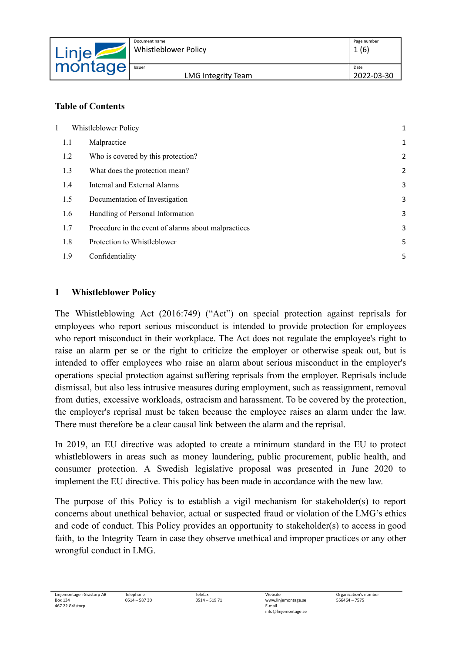| <b>Linje!</b> | Document name<br><b>Whistleblower Policy</b> | Page number<br>(6) |
|---------------|----------------------------------------------|--------------------|
| montage       | Issuer<br>LMG Integrity Team                 | Date<br>2022-03-30 |

#### **Table of Contents**

| 1 | Whistleblower Policy<br>1 |                                                     |   |
|---|---------------------------|-----------------------------------------------------|---|
|   | 1.1                       | Malpractice                                         | 1 |
|   | 1.2                       | Who is covered by this protection?                  | 2 |
|   | 1.3                       | What does the protection mean?                      | 2 |
|   | 1.4                       | Internal and External Alarms                        | 3 |
|   | 1.5                       | Documentation of Investigation                      | 3 |
|   | 1.6                       | Handling of Personal Information                    | 3 |
|   | 1.7                       | Procedure in the event of alarms about malpractices | 3 |
|   | 1.8                       | Protection to Whistleblower                         | 5 |
|   | 1.9                       | Confidentiality                                     | 5 |

#### <span id="page-0-0"></span>**1 Whistleblower Policy**

The Whistleblowing Act (2016:749) ("Act") on special protection against reprisals for employees who report serious misconduct is intended to provide protection for employees who report misconduct in their workplace. The Act does not regulate the employee's right to raise an alarm per se or the right to criticize the employer or otherwise speak out, but is intended to offer employees who raise an alarm about serious misconduct in the employer's operations special protection against suffering reprisals from the employer. Reprisals include dismissal, but also less intrusive measures during employment, such as reassignment, removal from duties, excessive workloads, ostracism and harassment. To be covered by the protection, the employer's reprisal must be taken because the employee raises an alarm under the law. There must therefore be a clear causal link between the alarm and the reprisal.

In 2019, an EU directive was adopted to create a minimum standard in the EU to protect whistleblowers in areas such as money laundering, public procurement, public health, and consumer protection. A Swedish legislative proposal was presented in June 2020 to implement the EU directive. This policy has been made in accordance with the new law.

The purpose of this Policy is to establish a vigil mechanism for stakeholder(s) to report concerns about unethical behavior, actual or suspected fraud or violation of the LMG's ethics and code of conduct. This Policy provides an opportunity to stakeholder(s) to access in good faith, to the Integrity Team in case they observe unethical and improper practices or any other wrongful conduct in LMG.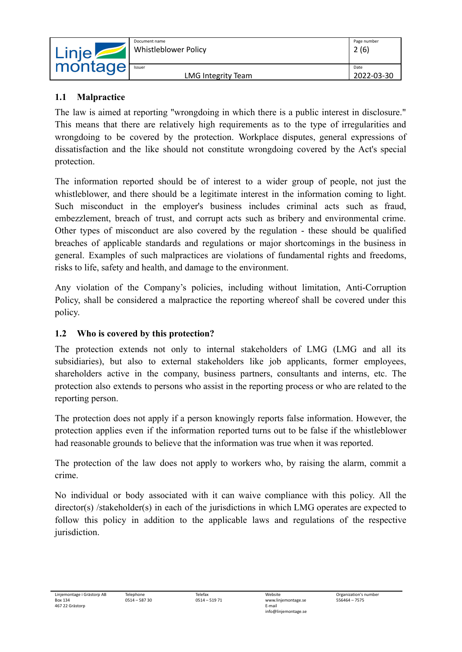| <b>Linje</b> | Document name<br><b>Whistleblower Policy</b> | Page number<br>2(6) |
|--------------|----------------------------------------------|---------------------|
| montaget     | Issuer<br><b>LMG Integrity Team</b>          | Date<br>2022-03-30  |

## <span id="page-1-0"></span>**1.1 Malpractice**

The law is aimed at reporting "wrongdoing in which there is a public interest in disclosure." This means that there are relatively high requirements as to the type of irregularities and wrongdoing to be covered by the protection. Workplace disputes, general expressions of dissatisfaction and the like should not constitute wrongdoing covered by the Act's special protection.

The information reported should be of interest to a wider group of people, not just the whistleblower, and there should be a legitimate interest in the information coming to light. Such misconduct in the employer's business includes criminal acts such as fraud, embezzlement, breach of trust, and corrupt acts such as bribery and environmental crime. Other types of misconduct are also covered by the regulation - these should be qualified breaches of applicable standards and regulations or major shortcomings in the business in general. Examples of such malpractices are violations of fundamental rights and freedoms, risks to life, safety and health, and damage to the environment.

Any violation of the Company's policies, including without limitation, Anti-Corruption Policy, shall be considered a malpractice the reporting whereof shall be covered under this policy.

# <span id="page-1-1"></span>**1.2 Who is covered by this protection?**

The protection extends not only to internal stakeholders of LMG (LMG and all its subsidiaries), but also to external stakeholders like job applicants, former employees, shareholders active in the company, business partners, consultants and interns, etc. The protection also extends to persons who assist in the reporting process or who are related to the reporting person.

The protection does not apply if a person knowingly reports false information. However, the protection applies even if the information reported turns out to be false if the whistleblower had reasonable grounds to believe that the information was true when it was reported.

The protection of the law does not apply to workers who, by raising the alarm, commit a crime.

No individual or body associated with it can waive compliance with this policy. All the director(s) /stakeholder(s) in each of the jurisdictions in which LMG operates are expected to follow this policy in addition to the applicable laws and regulations of the respective jurisdiction.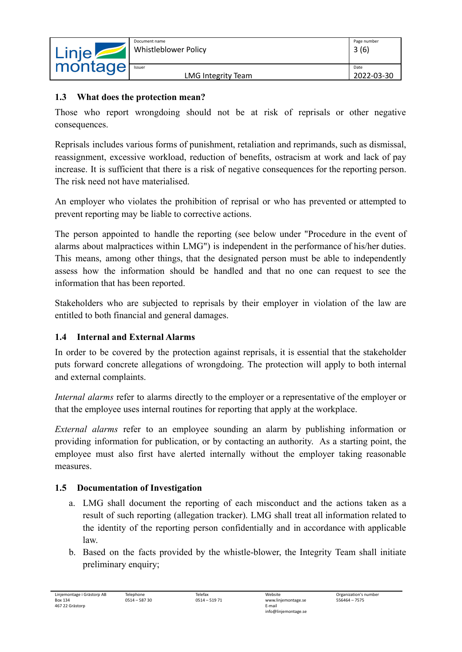| $\mathsf{\_}$ inje $\mathsf{\Gamma}$ | <b>Whistleblower Policy</b>  | Page number<br>3(6) |
|--------------------------------------|------------------------------|---------------------|
| montage                              | Issuer<br>LMG Integrity Team | Date<br>2022-03-30  |

### <span id="page-2-0"></span>**1.3 What does the protection mean?**

Those who report wrongdoing should not be at risk of reprisals or other negative consequences.

Reprisals includes various forms of punishment, retaliation and reprimands, such as dismissal, reassignment, excessive workload, reduction of benefits, ostracism at work and lack of pay increase. It is sufficient that there is a risk of negative consequences for the reporting person. The risk need not have materialised.

An employer who violates the prohibition of reprisal or who has prevented or attempted to prevent reporting may be liable to corrective actions.

The person appointed to handle the reporting (see below under "Procedure in the event of alarms about malpractices within LMG") is independent in the performance of his/her duties. This means, among other things, that the designated person must be able to independently assess how the information should be handled and that no one can request to see the information that has been reported.

Stakeholders who are subjected to reprisals by their employer in violation of the law are entitled to both financial and general damages.

# <span id="page-2-1"></span>**1.4 Internal and External Alarms**

In order to be covered by the protection against reprisals, it is essential that the stakeholder puts forward concrete allegations of wrongdoing. The protection will apply to both internal and external complaints.

*Internal alarms* refer to alarms directly to the employer or a representative of the employer or that the employee uses internal routines for reporting that apply at the workplace.

*External alarms* refer to an employee sounding an alarm by publishing information or providing information for publication, or by contacting an authority. As a starting point, the employee must also first have alerted internally without the employer taking reasonable measures.

#### <span id="page-2-2"></span>**1.5 Documentation of Investigation**

- a. LMG shall document the reporting of each misconduct and the actions taken as a result of such reporting (allegation tracker). LMG shall treat all information related to the identity of the reporting person confidentially and in accordance with applicable law.
- b. Based on the facts provided by the whistle-blower, the Integrity Team shall initiate preliminary enquiry;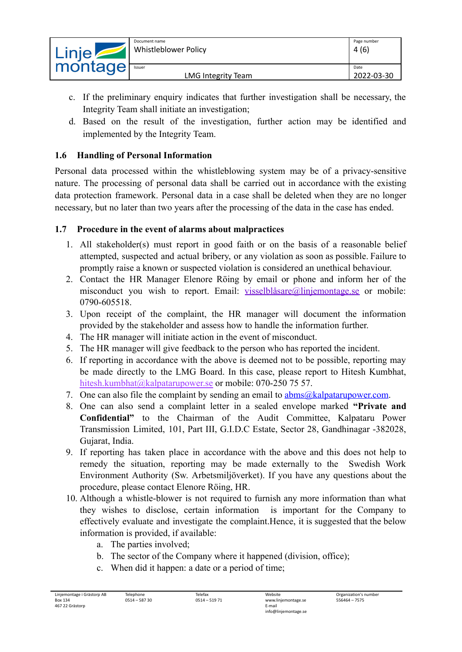| $\mathsf{Line}\,$ | Document name<br><b>Whistleblower Policy</b> | Page number<br>4(6) |
|-------------------|----------------------------------------------|---------------------|
| montage           | Issuer                                       | Date                |
|                   | LMG Integrity Team                           | 2022-03-30          |

- c. If the preliminary enquiry indicates that further investigation shall be necessary, the Integrity Team shall initiate an investigation;
- d. Based on the result of the investigation, further action may be identified and implemented by the Integrity Team.

## <span id="page-3-0"></span>**1.6 Handling of Personal Information**

Personal data processed within the whistleblowing system may be of a privacy-sensitive nature. The processing of personal data shall be carried out in accordance with the existing data protection framework. Personal data in a case shall be deleted when they are no longer necessary, but no later than two years after the processing of the data in the case has ended.

#### <span id="page-3-1"></span>**1.7 Procedure in the event of alarms about malpractices**

- 1. All stakeholder(s) must report in good faith or on the basis of a reasonable belief attempted, suspected and actual bribery, or any violation as soon as possible. Failure to promptly raise a known or suspected violation is considered an unethical behaviour.
- 2. Contact the HR Manager Elenore Röing by email or phone and inform her of the misconduct you wish to report. Email: visselblåsare@linjemontage.se or mobile: 0790-605518.
- 3. Upon receipt of the complaint, the HR manager will document the information provided by the stakeholder and assess how to handle the information further.
- 4. The HR manager will initiate action in the event of misconduct.
- 5. The HR manager will give feedback to the person who has reported the incident.
- 6. If reporting in accordance with the above is deemed not to be possible, reporting may be made directly to the LMG Board. In this case, please report to Hitesh Kumbhat, hitesh.kumbhat@kalpatarupower.se or mobile: 070-250 75 57.
- 7. One can also file the complaint by sending an email to  $abms@kalpatarupower.com$ .
- 8. One can also send a complaint letter in a sealed envelope marked **"Private and Confidential"** to the Chairman of the Audit Committee, Kalpataru Power Transmission Limited, 101, Part III, G.I.D.C Estate, Sector 28, Gandhinagar -382028, Gujarat, India.
- 9. If reporting has taken place in accordance with the above and this does not help to remedy the situation, reporting may be made externally to the Swedish Work Environment Authority (Sw. Arbetsmiljöverket). If you have any questions about the procedure, please contact Elenore Röing, HR.
- 10. Although a whistle-blower is not required to furnish any more information than what they wishes to disclose, certain information is important for the Company to effectively evaluate and investigate the complaint.Hence, it is suggested that the below information is provided, if available:
	- a. The parties involved;
	- b. The sector of the Company where it happened (division, office);
	- c. When did it happen: a date or a period of time;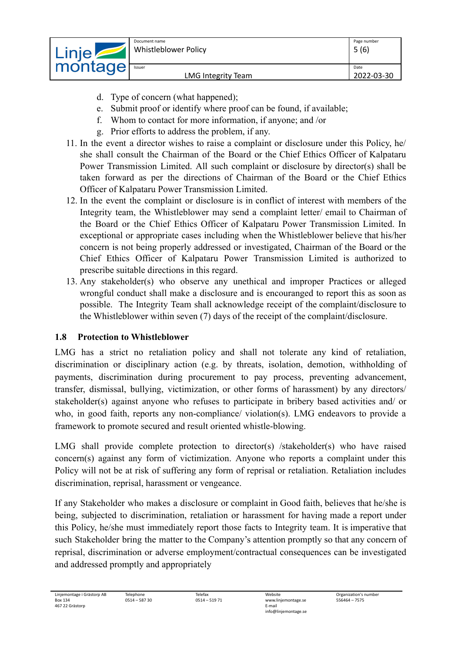- d. Type of concern (what happened);
- e. Submit proof or identify where proof can be found, if available;
- f. Whom to contact for more information, if anyone; and /or
- g. Prior efforts to address the problem, if any.
- 11. In the event a director wishes to raise a complaint or disclosure under this Policy, he/ she shall consult the Chairman of the Board or the Chief Ethics Officer of Kalpataru Power Transmission Limited. All such complaint or disclosure by director(s) shall be taken forward as per the directions of Chairman of the Board or the Chief Ethics Officer of Kalpataru Power Transmission Limited.
- 12. In the event the complaint or disclosure is in conflict of interest with members of the Integrity team, the Whistleblower may send a complaint letter/ email to Chairman of the Board or the Chief Ethics Officer of Kalpataru Power Transmission Limited. In exceptional or appropriate cases including when the Whistleblower believe that his/her concern is not being properly addressed or investigated, Chairman of the Board or the Chief Ethics Officer of Kalpataru Power Transmission Limited is authorized to prescribe suitable directions in this regard.
- 13. Any stakeholder(s) who observe any unethical and improper Practices or alleged wrongful conduct shall make a disclosure and is encouranged to report this as soon as possible. The Integrity Team shall acknowledge receipt of the complaint/disclosure to the Whistleblower within seven (7) days of the receipt of the complaint/disclosure.

# <span id="page-4-0"></span>**1.8 Protection to Whistleblower**

LMG has a strict no retaliation policy and shall not tolerate any kind of retaliation, discrimination or disciplinary action (e.g. by threats, isolation, demotion, withholding of payments, discrimination during procurement to pay process, preventing advancement, transfer, dismissal, bullying, victimization, or other forms of harassment) by any directors/ stakeholder(s) against anyone who refuses to participate in bribery based activities and/ or who, in good faith, reports any non-compliance/ violation(s). LMG endeavors to provide a framework to promote secured and result oriented whistle-blowing.

LMG shall provide complete protection to director(s) /stakeholder(s) who have raised concern(s) against any form of victimization. Anyone who reports a complaint under this Policy will not be at risk of suffering any form of reprisal or retaliation. Retaliation includes discrimination, reprisal, harassment or vengeance.

If any Stakeholder who makes a disclosure or complaint in Good faith, believes that he/she is being, subjected to discrimination, retaliation or harassment for having made a report under this Policy, he/she must immediately report those facts to Integrity team. It is imperative that such Stakeholder bring the matter to the Company's attention promptly so that any concern of reprisal, discrimination or adverse employment/contractual consequences can be investigated and addressed promptly and appropriately

Telefax 0514 – 519 71